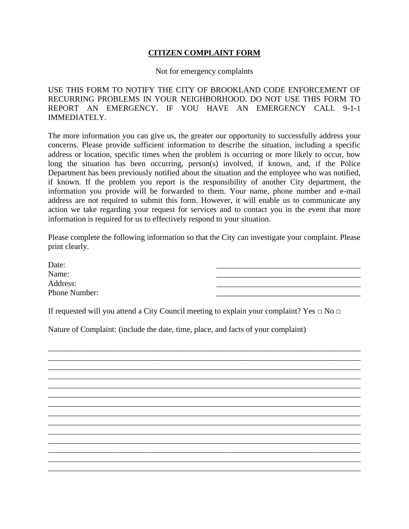## **CITIZEN COMPLAINT FORM**

Not for emergency complaints

USE THIS FORM TO NOTIFY THE CITY OF BROOKLAND CODE ENFORCEMENT OF RECURRING PROBLEMS IN YOUR NEIGHBORHOOD. DO NOT USE THIS FORM TO REPORT AN EMERGENCY. IF YOU HAVE AN EMERGENCY CALL 9-1-1 IMMEDIATELY.

The more information you can give us, the greater our opportunity to successfully address your concerns. Please provide sufficient information to describe the situation, including a specific address or location, specific times when the problem is occurring or more likely to occur, how long the situation has been occurring, person(s) involved, if known, and, if the Police Department has been previously notified about the situation and the employee who was notified, if known. If the problem you report is the responsibility of another City department, the information you provide will be forwarded to them. Your name, phone number and e-mail address are not required to submit this form. However, it will enable us to communicate any action we take regarding your request for services and to contact you in the event that more information is required for us to effectively respond to your situation.

Please complete the following information so that the City can investigate your complaint. Please print clearly.

Date: Name: Address: Phone Number:

\_\_\_\_\_\_\_\_\_\_\_\_\_\_\_\_\_\_\_\_\_\_\_\_\_\_\_\_\_\_\_\_\_\_\_\_\_\_\_\_\_\_\_\_\_\_\_\_\_\_\_\_\_\_\_\_\_\_\_\_\_\_\_\_\_\_\_\_\_\_\_\_\_\_\_\_\_\_ \_\_\_\_\_\_\_\_\_\_\_\_\_\_\_\_\_\_\_\_\_\_\_\_\_\_\_\_\_\_\_\_\_\_\_\_\_\_\_\_\_\_\_\_\_\_\_\_\_\_\_\_\_\_\_\_\_\_\_\_\_\_\_\_\_\_\_\_\_\_\_\_\_\_\_\_\_\_ \_\_\_\_\_\_\_\_\_\_\_\_\_\_\_\_\_\_\_\_\_\_\_\_\_\_\_\_\_\_\_\_\_\_\_\_\_\_\_\_\_\_\_\_\_\_\_\_\_\_\_\_\_\_\_\_\_\_\_\_\_\_\_\_\_\_\_\_\_\_\_\_\_\_\_\_\_\_ \_\_\_\_\_\_\_\_\_\_\_\_\_\_\_\_\_\_\_\_\_\_\_\_\_\_\_\_\_\_\_\_\_\_\_\_\_\_\_\_\_\_\_\_\_\_\_\_\_\_\_\_\_\_\_\_\_\_\_\_\_\_\_\_\_\_\_\_\_\_\_\_\_\_\_\_\_\_ \_\_\_\_\_\_\_\_\_\_\_\_\_\_\_\_\_\_\_\_\_\_\_\_\_\_\_\_\_\_\_\_\_\_\_\_\_\_\_\_\_\_\_\_\_\_\_\_\_\_\_\_\_\_\_\_\_\_\_\_\_\_\_\_\_\_\_\_\_\_\_\_\_\_\_\_\_\_ \_\_\_\_\_\_\_\_\_\_\_\_\_\_\_\_\_\_\_\_\_\_\_\_\_\_\_\_\_\_\_\_\_\_\_\_\_\_\_\_\_\_\_\_\_\_\_\_\_\_\_\_\_\_\_\_\_\_\_\_\_\_\_\_\_\_\_\_\_\_\_\_\_\_\_\_\_\_ \_\_\_\_\_\_\_\_\_\_\_\_\_\_\_\_\_\_\_\_\_\_\_\_\_\_\_\_\_\_\_\_\_\_\_\_\_\_\_\_\_\_\_\_\_\_\_\_\_\_\_\_\_\_\_\_\_\_\_\_\_\_\_\_\_\_\_\_\_\_\_\_\_\_\_\_\_\_ \_\_\_\_\_\_\_\_\_\_\_\_\_\_\_\_\_\_\_\_\_\_\_\_\_\_\_\_\_\_\_\_\_\_\_\_\_\_\_\_\_\_\_\_\_\_\_\_\_\_\_\_\_\_\_\_\_\_\_\_\_\_\_\_\_\_\_\_\_\_\_\_\_\_\_\_\_\_ \_\_\_\_\_\_\_\_\_\_\_\_\_\_\_\_\_\_\_\_\_\_\_\_\_\_\_\_\_\_\_\_\_\_\_\_\_\_\_\_\_\_\_\_\_\_\_\_\_\_\_\_\_\_\_\_\_\_\_\_\_\_\_\_\_\_\_\_\_\_\_\_\_\_\_\_\_\_ \_\_\_\_\_\_\_\_\_\_\_\_\_\_\_\_\_\_\_\_\_\_\_\_\_\_\_\_\_\_\_\_\_\_\_\_\_\_\_\_\_\_\_\_\_\_\_\_\_\_\_\_\_\_\_\_\_\_\_\_\_\_\_\_\_\_\_\_\_\_\_\_\_\_\_\_\_\_

\_\_\_\_\_\_\_\_\_\_\_\_\_\_\_\_\_\_\_\_\_\_\_\_\_\_\_\_\_\_\_\_\_\_\_\_\_\_\_\_\_\_\_\_\_\_\_\_\_\_\_\_\_\_\_\_\_\_\_\_\_\_\_\_\_\_\_\_\_\_\_\_\_\_\_\_\_\_ \_\_\_\_\_\_\_\_\_\_\_\_\_\_\_\_\_\_\_\_\_\_\_\_\_\_\_\_\_\_\_\_\_\_\_\_\_\_\_\_\_\_\_\_\_\_\_\_\_\_\_\_\_\_\_\_\_\_\_\_\_\_\_\_\_\_\_\_\_\_\_\_\_\_\_\_\_\_ \_\_\_\_\_\_\_\_\_\_\_\_\_\_\_\_\_\_\_\_\_\_\_\_\_\_\_\_\_\_\_\_\_\_\_\_\_\_\_\_\_\_\_\_\_\_\_\_\_\_\_\_\_\_\_\_\_\_\_\_\_\_\_\_\_\_\_\_\_\_\_\_\_\_\_\_\_\_

If requested will you attend a City Council meeting to explain your complaint? Yes  $\Box$  No  $\Box$ 

Nature of Complaint: (include the date, time, place, and facts of your complaint)